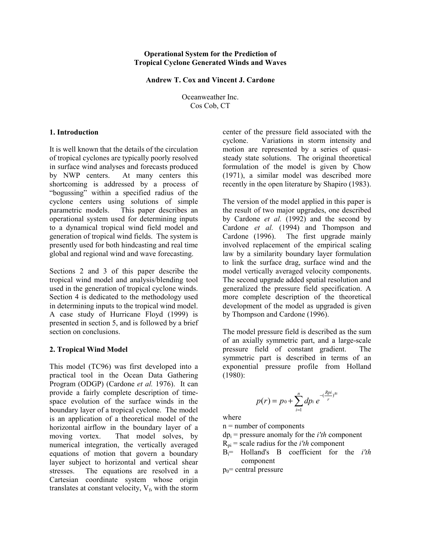#### **Operational System for the Prediction of Tropical Cyclone Generated Winds and Waves**

#### **Andrew T. Cox and Vincent J. Cardone**

Oceanweather Inc. Cos Cob, CT

## **1. Introduction**

It is well known that the details of the circulation of tropical cyclones are typically poorly resolved in surface wind analyses and forecasts produced by NWP centers. At many centers this shortcoming is addressed by a process of "bogussing" within a specified radius of the cyclone centers using solutions of simple parametric models. This paper describes an operational system used for determining inputs to a dynamical tropical wind field model and generation of tropical wind fields. The system is presently used for both hindcasting and real time global and regional wind and wave forecasting.

Sections 2 and 3 of this paper describe the tropical wind model and analysis/blending tool used in the generation of tropical cyclone winds. Section 4 is dedicated to the methodology used in determining inputs to the tropical wind model. A case study of Hurricane Floyd (1999) is presented in section 5, and is followed by a brief section on conclusions.

### **2. Tropical Wind Model**

This model (TC96) was first developed into a practical tool in the Ocean Data Gathering Program (ODGP) (Cardone *et al.* 1976). It can provide a fairly complete description of timespace evolution of the surface winds in the boundary layer of a tropical cyclone. The model is an application of a theoretical model of the horizontal airflow in the boundary layer of a moving vortex. That model solves, by numerical integration, the vertically averaged equations of motion that govern a boundary layer subject to horizontal and vertical shear stresses. The equations are resolved in a Cartesian coordinate system whose origin translates at constant velocity,  $V_f$ , with the storm

center of the pressure field associated with the cyclone. Variations in storm intensity and motion are represented by a series of quasisteady state solutions. The original theoretical formulation of the model is given by Chow (1971), a similar model was described more recently in the open literature by Shapiro (1983).

The version of the model applied in this paper is the result of two major upgrades, one described by Cardone *et al.* (1992) and the second by Cardone *et al.* (1994) and Thompson and Cardone (1996). The first upgrade mainly involved replacement of the empirical scaling law by a similarity boundary layer formulation to link the surface drag, surface wind and the model vertically averaged velocity components. The second upgrade added spatial resolution and generalized the pressure field specification. A more complete description of the theoretical development of the model as upgraded is given by Thompson and Cardone (1996).

The model pressure field is described as the sum of an axially symmetric part, and a large-scale pressure field of constant gradient. The symmetric part is described in terms of an exponential pressure profile from Holland (1980):

$$
p(r) = p_0 + \sum_{i=1}^{n} dp_i e^{-(\frac{Rpi}{r})^{Bi}}
$$

where

n = number of components

 $dp_i$  = pressure anomaly for the *i'th* component

- $R_{\text{pi}}$  = scale radius for the *i'th* component
- Bi= Holland's B coefficient for the *i'th* component
- $p_0$ = central pressure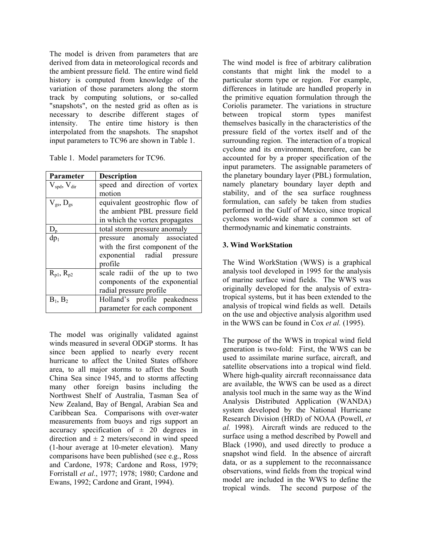The model is driven from parameters that are derived from data in meteorological records and the ambient pressure field. The entire wind field history is computed from knowledge of the variation of those parameters along the storm track by computing solutions, or so-called "snapshots", on the nested grid as often as is necessary to describe different stages of intensity. The entire time history is then interpolated from the snapshots. The snapshot input parameters to TC96 are shown in Table 1.

|  |  | Table 1. Model parameters for TC96. |
|--|--|-------------------------------------|
|--|--|-------------------------------------|

| <b>Parameter</b>                    | <b>Description</b>              |  |  |
|-------------------------------------|---------------------------------|--|--|
| $V_{\text{spd}}$ , $V_{\text{dir}}$ | speed and direction of vortex   |  |  |
|                                     | motion                          |  |  |
| $\rm V_{gs},D_{gs}$                 | equivalent geostrophic flow of  |  |  |
|                                     | the ambient PBL pressure field  |  |  |
|                                     | in which the vortex propagates  |  |  |
| $D_{p}$                             | total storm pressure anomaly    |  |  |
| $dp_1$                              | pressure anomaly associated     |  |  |
|                                     | with the first component of the |  |  |
|                                     | exponential radial pressure     |  |  |
|                                     | profile                         |  |  |
| $R_{p1}$ , $R_{p2}$                 | scale radii of the up to two    |  |  |
|                                     | components of the exponential   |  |  |
|                                     | radial pressure profile         |  |  |
| $B_1, B_2$                          | Holland's profile peakedness    |  |  |
|                                     | parameter for each component    |  |  |

The model was originally validated against winds measured in several ODGP storms. It has since been applied to nearly every recent hurricane to affect the United States offshore area, to all major storms to affect the South China Sea since 1945, and to storms affecting many other foreign basins including the Northwest Shelf of Australia, Tasman Sea of New Zealand, Bay of Bengal, Arabian Sea and Caribbean Sea. Comparisons with over-water measurements from buoys and rigs support an accuracy specification of  $\pm$  20 degrees in direction and  $\pm$  2 meters/second in wind speed (1-hour average at 10-meter elevation). Many comparisons have been published (see e.g., Ross and Cardone, 1978; Cardone and Ross, 1979; Forristall *et al.*, 1977; 1978; 1980; Cardone and Ewans, 1992; Cardone and Grant, 1994).

The wind model is free of arbitrary calibration constants that might link the model to a particular storm type or region. For example, differences in latitude are handled properly in the primitive equation formulation through the Coriolis parameter. The variations in structure between tropical storm types manifest themselves basically in the characteristics of the pressure field of the vortex itself and of the surrounding region. The interaction of a tropical cyclone and its environment, therefore, can be accounted for by a proper specification of the input parameters. The assignable parameters of the planetary boundary layer (PBL) formulation, namely planetary boundary layer depth and stability, and of the sea surface roughness formulation, can safely be taken from studies performed in the Gulf of Mexico, since tropical cyclones world-wide share a common set of thermodynamic and kinematic constraints.

# **3. Wind WorkStation**

The Wind WorkStation (WWS) is a graphical analysis tool developed in 1995 for the analysis of marine surface wind fields. The WWS was originally developed for the analysis of extratropical systems, but it has been extended to the analysis of tropical wind fields as well. Details on the use and objective analysis algorithm used in the WWS can be found in Cox *et al.* (1995).

The purpose of the WWS in tropical wind field generation is two-fold: First, the WWS can be used to assimilate marine surface, aircraft, and satellite observations into a tropical wind field. Where high-quality aircraft reconnaissance data are available, the WWS can be used as a direct analysis tool much in the same way as the Wind Analysis Distributed Application (WANDA) system developed by the National Hurricane Research Division (HRD) of NOAA (Powell, *et al.* 1998). Aircraft winds are reduced to the surface using a method described by Powell and Black (1990), and used directly to produce a snapshot wind field. In the absence of aircraft data, or as a supplement to the reconnaissance observations, wind fields from the tropical wind model are included in the WWS to define the tropical winds. The second purpose of the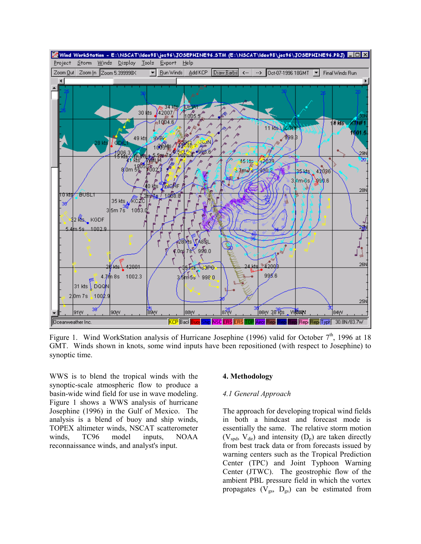

Figure 1. Wind WorkStation analysis of Hurricane Josephine (1996) valid for October  $7<sup>th</sup>$ , 1996 at 18 GMT. Winds shown in knots, some wind inputs have been repositioned (with respect to Josephine) to synoptic time.

WWS is to blend the tropical winds with the synoptic-scale atmospheric flow to produce a basin-wide wind field for use in wave modeling. Figure 1 shows a WWS analysis of hurricane Josephine (1996) in the Gulf of Mexico. The analysis is a blend of buoy and ship winds, TOPEX altimeter winds, NSCAT scatterometer winds, TC96 model inputs, NOAA reconnaissance winds, and analyst's input.

## **4. Methodology**

### *4.1 General Approach*

The approach for developing tropical wind fields in both a hindcast and forecast mode is essentially the same. The relative storm motion  $(V_{\text{spd}}$ ,  $V_{\text{dir}})$  and intensity  $(D_p)$  are taken directly from best track data or from forecasts issued by warning centers such as the Tropical Prediction Center (TPC) and Joint Typhoon Warning Center (JTWC). The geostrophic flow of the ambient PBL pressure field in which the vortex propagates  $(V_{gs}, D_{gs})$  can be estimated from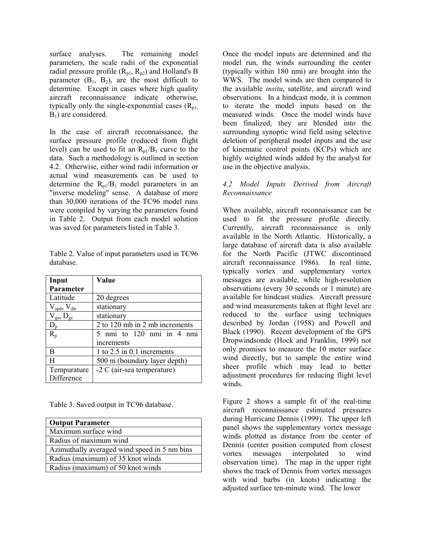surface analyses. The remaining model parameters, the scale radii of the exponential radial pressure profile  $(R_{p1}, R_{p2})$  and Holland's B parameter  $(B_1, B_2)$ , are the most difficult to determine. Except in cases where high quality aircraft reconnaissance indicate otherwise, typically only the single-exponential cases  $(R_{p1}$ , B1) are considered.

In the case of aircraft reconnaissance, the surface pressure profile (reduced from flight level) can be used to fit an  $R_{p1}/B_1$  curve to the data. Such a methodology is outlined in section 4.2. Otherwise, either wind radii information or actual wind measurements can be used to determine the  $R_{p1}/B_1$  model parameters in an "inverse modeling" sense. A database of more than 30,000 iterations of the TC96 model runs were compiled by varying the parameters found in Table 2. Output from each model solution was saved for parameters listed in Table 3.

|           | Table 2. Value of input parameters used in TC96 |
|-----------|-------------------------------------------------|
| database. |                                                 |

| Input                               | Value                          |  |  |
|-------------------------------------|--------------------------------|--|--|
| Parameter                           |                                |  |  |
| Latitude                            | 20 degrees                     |  |  |
| $V_{\text{spd}}$ , $V_{\text{dir}}$ | stationary                     |  |  |
| $\rm V_{gs},\, \rm D_{gs}$          | stationary                     |  |  |
| $D_{p}$                             | 2 to 120 mb in 2 mb increments |  |  |
| $R_p$                               | nmi to 120 nmi in 4 nmi        |  |  |
|                                     | increments                     |  |  |
| B                                   | 1 to $2.5$ in 0.1 increments   |  |  |
| H                                   | 500 m (boundary layer depth)   |  |  |
| Tempurature                         | $-2 C$ (air-sea temperature)   |  |  |
| Difference                          |                                |  |  |

Table 3. Saved output in TC96 database.

| <b>Output Parameter</b>                      |  |  |
|----------------------------------------------|--|--|
| Maximum surface wind                         |  |  |
| Radius of maximum wind                       |  |  |
| Azimuthally averaged wind speed in 5 nm bins |  |  |
| Radius (maximum) of 35 knot winds            |  |  |
| Radius (maximum) of 50 knot winds            |  |  |

Once the model inputs are determined and the model run, the winds surrounding the center (typically within 180 nmi) are brought into the WWS. The model winds are then compared to the available *insitu*, satellite, and aircraft wind observations. In a hindcast mode, it is common to iterate the model inputs based on the measured winds. Once the model winds have been finalized, they are blended into the surrounding synoptic wind field using selective deletion of peripheral model inputs and the use of kinematic control points (KCPs) which are highly weighted winds added by the analyst for use in the objective analysis.

# *4.2 Model Inputs Derived from Aircraft Reconnaissance*

When available, aircraft reconnaissance can be used to fit the pressure profile directly. Currently, aircraft reconnaissance is only available in the North Atlantic. Historically, a large database of aircraft data is also available for the North Pacific (JTWC discontinued aircraft reconnaissance 1986). In real time, typically vortex and supplementary vortex messages are available, while high-resolution observations (every 30 seconds or 1 minute) are available for hindcast studies. Aircraft pressure and wind measurements taken at flight level are reduced to the surface using techniques described by Jordan (1958) and Powell and Black (1990). Recent development of the GPS Dropwindsonde (Hock and Franklin, 1999) not only promises to measure the 10 meter surface wind directly, but to sample the entire wind sheer profile which may lead to better adjustment procedures for reducing flight level winds.

Figure 2 shows a sample fit of the real-time aircraft reconnaissance estimated pressures during Hurricane Dennis (1999). The upper left panel shows the supplementary vortex message winds plotted as distance from the center of Dennis (center position computed from closest vortex messages interpolated to wind observation time). The map in the upper right shows the track of Dennis from vortex messages with wind barbs (in knots) indicating the adjusted surface ten-minute wind. The lower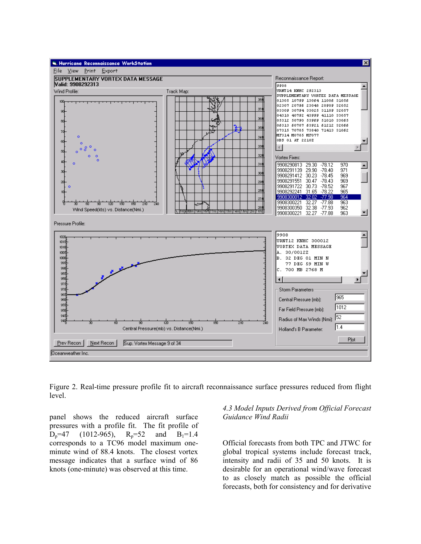

Figure 2. Real-time pressure profile fit to aircraft reconnaissance surface pressures reduced from flight level.

panel shows the reduced aircraft surface pressures with a profile fit. The fit profile of  $D_p=47$  (1012-965),  $R_p=52$  and  $B_1=1.4$ corresponds to a TC96 model maximum oneminute wind of 88.4 knots. The closest vortex message indicates that a surface wind of 86 knots (one-minute) was observed at this time.

*4.3 Model Inputs Derived from Official Forecast Guidance Wind Radii* 

Official forecasts from both TPC and JTWC for global tropical systems include forecast track, intensity and radii of 35 and 50 knots. It is desirable for an operational wind/wave forecast to as closely match as possible the official forecasts, both for consistency and for derivative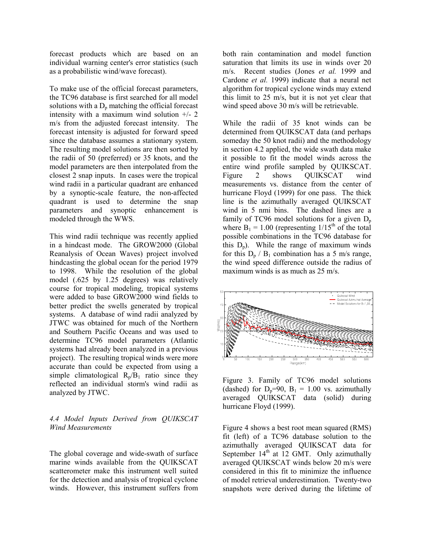forecast products which are based on an individual warning center's error statistics (such as a probabilistic wind/wave forecast).

To make use of the official forecast parameters, the TC96 database is first searched for all model solutions with a  $D_p$  matching the official forecast intensity with a maximum wind solution  $+/- 2$ m/s from the adjusted forecast intensity. The forecast intensity is adjusted for forward speed since the database assumes a stationary system. The resulting model solutions are then sorted by the radii of 50 (preferred) or 35 knots, and the model parameters are then interpolated from the closest 2 snap inputs. In cases were the tropical wind radii in a particular quadrant are enhanced by a synoptic-scale feature, the non-affected quadrant is used to determine the snap parameters and synoptic enhancement is modeled through the WWS.

This wind radii technique was recently applied in a hindcast mode. The GROW2000 (Global Reanalysis of Ocean Waves) project involved hindcasting the global ocean for the period 1979 to 1998. While the resolution of the global model (.625 by 1.25 degrees) was relatively course for tropical modeling, tropical systems were added to base GROW2000 wind fields to better predict the swells generated by tropical systems. A database of wind radii analyzed by JTWC was obtained for much of the Northern and Southern Pacific Oceans and was used to determine TC96 model parameters (Atlantic systems had already been analyzed in a previous project). The resulting tropical winds were more accurate than could be expected from using a simple climatological  $R_p/B_1$  ratio since they reflected an individual storm's wind radii as analyzed by JTWC.

# *4.4 Model Inputs Derived from QUIKSCAT Wind Measurements*

The global coverage and wide-swath of surface marine winds available from the QUIKSCAT scatterometer make this instrument well suited for the detection and analysis of tropical cyclone winds. However, this instrument suffers from both rain contamination and model function saturation that limits its use in winds over 20 m/s. Recent studies (Jones *et al.* 1999 and Cardone *et al.* 1999) indicate that a neural net algorithm for tropical cyclone winds may extend this limit to 25 m/s, but it is not yet clear that wind speed above 30 m/s will be retrievable.

While the radii of 35 knot winds can be determined from QUIKSCAT data (and perhaps someday the 50 knot radii) and the methodology in section 4.2 applied, the wide swath data make it possible to fit the model winds across the entire wind profile sampled by QUIKSCAT. Figure 2 shows OUIKSCAT wind measurements vs. distance from the center of hurricane Floyd (1999) for one pass. The thick line is the azimuthally averaged QUIKSCAT wind in 5 nmi bins. The dashed lines are a family of TC96 model solutions for a given  $D_n$ where  $B_1 = 1.00$  (representing  $1/15<sup>th</sup>$  of the total possible combinations in the TC96 database for this  $D_n$ ). While the range of maximum winds for this  $D_n / B_1$  combination has a 5 m/s range, the wind speed difference outside the radius of maximum winds is as much as 25 m/s.



Figure 3. Family of TC96 model solutions (dashed) for  $D_p=90$ ,  $B_1 = 1.00$  vs. azimuthally averaged QUIKSCAT data (solid) during hurricane Floyd (1999).

Figure 4 shows a best root mean squared (RMS) fit (left) of a TC96 database solution to the azimuthally averaged QUIKSCAT data for September  $14<sup>th</sup>$  at 12 GMT. Only azimuthally averaged QUIKSCAT winds below 20 m/s were considered in this fit to minimize the influence of model retrieval underestimation. Twenty-two snapshots were derived during the lifetime of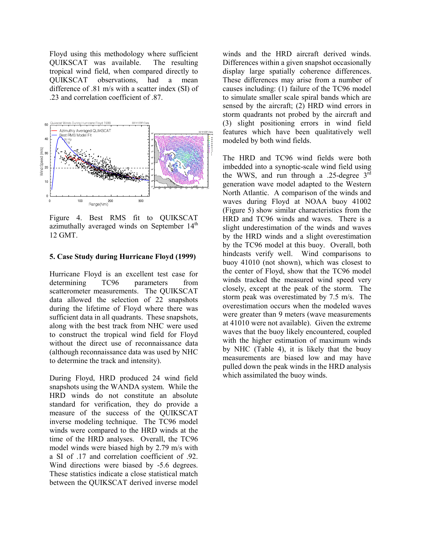Floyd using this methodology where sufficient QUIKSCAT was available. The resulting tropical wind field, when compared directly to QUIKSCAT observations, had a mean difference of .81 m/s with a scatter index (SI) of .23 and correlation coefficient of .87.



Figure 4. Best RMS fit to QUIKSCAT azimuthally averaged winds on September 14<sup>th</sup> 12 GMT.

# **5. Case Study during Hurricane Floyd (1999)**

Hurricane Floyd is an excellent test case for determining TC96 parameters from scatterometer measurements. The QUIKSCAT data allowed the selection of 22 snapshots during the lifetime of Floyd where there was sufficient data in all quadrants. These snapshots, along with the best track from NHC were used to construct the tropical wind field for Floyd without the direct use of reconnaissance data (although reconnaissance data was used by NHC to determine the track and intensity).

During Floyd, HRD produced 24 wind field snapshots using the WANDA system. While the HRD winds do not constitute an absolute standard for verification, they do provide a measure of the success of the QUIKSCAT inverse modeling technique. The TC96 model winds were compared to the HRD winds at the time of the HRD analyses. Overall, the TC96 model winds were biased high by 2.79 m/s with a SI of .17 and correlation coefficient of .92. Wind directions were biased by -5.6 degrees. These statistics indicate a close statistical match between the QUIKSCAT derived inverse model

winds and the HRD aircraft derived winds. Differences within a given snapshot occasionally display large spatially coherence differences. These differences may arise from a number of causes including: (1) failure of the TC96 model to simulate smaller scale spiral bands which are sensed by the aircraft; (2) HRD wind errors in storm quadrants not probed by the aircraft and (3) slight positioning errors in wind field features which have been qualitatively well modeled by both wind fields.

The HRD and TC96 wind fields were both imbedded into a synoptic-scale wind field using the WWS, and run through a .25-degree  $3<sup>rd</sup>$ generation wave model adapted to the Western North Atlantic. A comparison of the winds and waves during Floyd at NOAA buoy 41002 (Figure 5) show similar characteristics from the HRD and TC96 winds and waves. There is a slight underestimation of the winds and waves by the HRD winds and a slight overestimation by the TC96 model at this buoy. Overall, both hindcasts verify well. Wind comparisons to buoy 41010 (not shown), which was closest to the center of Floyd, show that the TC96 model winds tracked the measured wind speed very closely, except at the peak of the storm. The storm peak was overestimated by 7.5 m/s. The overestimation occurs when the modeled waves were greater than 9 meters (wave measurements at 41010 were not available). Given the extreme waves that the buoy likely encountered, coupled with the higher estimation of maximum winds by NHC (Table 4), it is likely that the buoy measurements are biased low and may have pulled down the peak winds in the HRD analysis which assimilated the buoy winds.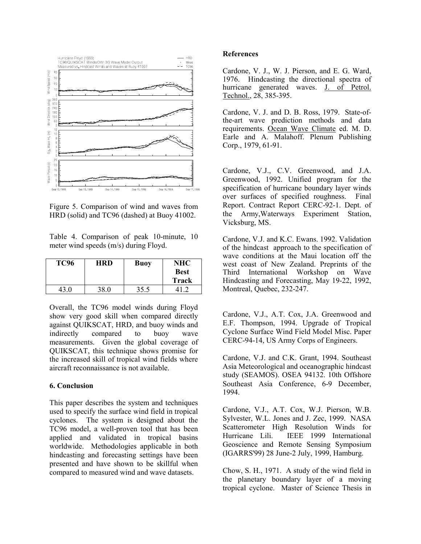

Figure 5. Comparison of wind and waves from HRD (solid) and TC96 (dashed) at Buoy 41002.

Table 4. Comparison of peak 10-minute, 10 meter wind speeds (m/s) during Floyd.

| <b>TC96</b> | HRD  | <b>Buoy</b> | NHC         |
|-------------|------|-------------|-------------|
|             |      |             | <b>Best</b> |
|             |      |             | Track       |
| 43.0        | 38.0 | 35.5        |             |

Overall, the TC96 model winds during Floyd show very good skill when compared directly against QUIKSCAT, HRD, and buoy winds and indirectly compared to buoy wave measurements. Given the global coverage of QUIKSCAT, this technique shows promise for the increased skill of tropical wind fields where aircraft reconnaissance is not available.

## **6. Conclusion**

This paper describes the system and techniques used to specify the surface wind field in tropical cyclones. The system is designed about the TC96 model, a well-proven tool that has been applied and validated in tropical basins worldwide. Methodologies applicable in both hindcasting and forecasting settings have been presented and have shown to be skillful when compared to measured wind and wave datasets.

#### **References**

Cardone, V. J., W. J. Pierson, and E. G. Ward, 1976. Hindcasting the directional spectra of hurricane generated waves. J. of Petrol. Technol., 28, 385-395.

Cardone, V. J. and D. B. Ross, 1979. State-ofthe-art wave prediction methods and data requirements. Ocean Wave Climate ed. M. D. Earle and A. Malahoff. Plenum Publishing Corp., 1979, 61-91.

Cardone, V.J., C.V. Greenwood, and J.A. Greenwood, 1992. Unified program for the specification of hurricane boundary layer winds over surfaces of specified roughness. Final Report. Contract Report CERC-92-1. Dept. of the Army,Waterways Experiment Station, Vicksburg, MS.

Cardone, V.J. and K.C. Ewans. 1992. Validation of the hindcast approach to the specification of wave conditions at the Maui location off the west coast of New Zealand. Preprints of the Third International Workshop on Wave Hindcasting and Forecasting, May 19-22, 1992, Montreal, Quebec, 232-247.

Cardone, V.J., A.T. Cox, J.A. Greenwood and E.F. Thompson, 1994. Upgrade of Tropical Cyclone Surface Wind Field Model Misc. Paper CERC-94-14, US Army Corps of Engineers.

Cardone, V.J. and C.K. Grant, 1994. Southeast Asia Meteorological and oceanographic hindcast study (SEAMOS). OSEA 94132. 10th Offshore Southeast Asia Conference, 6-9 December, 1994.

Cardone, V.J., A.T. Cox, W.J. Pierson, W.B. Sylvester, W.L. Jones and J. Zec, 1999. NASA Scatterometer High Resolution Winds for Hurricane Lili. IEEE 1999 International Geoscience and Remote Sensing Symposium (IGARRS'99) 28 June-2 July, 1999, Hamburg.

Chow, S. H., 1971. A study of the wind field in the planetary boundary layer of a moving tropical cyclone. Master of Science Thesis in